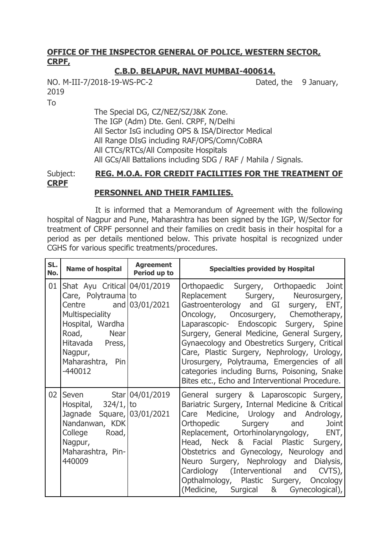## **OFFICE OF THE INSPECTOR GENERAL OF POLICE, WESTERN SECTOR, CRPF,**

## **C.B.D. BELAPUR, NAVI MUMBAI-400614.**

NO. M-III-7/2018-19-WS-PC-2 Dated, the 9 January, 2019

To

The Special DG, CZ/NEZ/SZ/J&K Zone. The IGP (Adm) Dte. Genl. CRPF, N/Delhi All Sector IsG including OPS & ISA/Director Medical All Range DIsG including RAF/OPS/Comn/CoBRA All CTCs/RTCs/All Composite Hospitals All GCs/All Battalions including SDG / RAF / Mahila / Signals.

### Subject: **REG. M.O.A. FOR CREDIT FACILITIES FOR THE TREATMENT OF CRPF PERSONNEL AND THEIR FAMILIES.**

It is informed that a Memorandum of Agreement with the following hospital of Nagpur and Pune, Maharashtra has been signed by the IGP, W/Sector for treatment of CRPF personnel and their families on credit basis in their hospital for a period as per details mentioned below. This private hospital is recognized under CGHS for various specific treatments/procedures.

| SL.<br>No. | <b>Name of hospital</b>                                                                                                                                                                          | <b>Agreement</b><br>Period up to | <b>Specialties provided by Hospital</b>                                                                                                                                                                                                                                                                                                                                                                                                                                                                 |
|------------|--------------------------------------------------------------------------------------------------------------------------------------------------------------------------------------------------|----------------------------------|---------------------------------------------------------------------------------------------------------------------------------------------------------------------------------------------------------------------------------------------------------------------------------------------------------------------------------------------------------------------------------------------------------------------------------------------------------------------------------------------------------|
| 01         | Shat Ayu Critical 04/01/2019<br>Care, Polytrauma to<br>Centre and 03/01/2021<br>Multispeciality<br>Hospital, Wardha<br>Road, Near<br>Hitavada Press,<br>Nagpur,<br>Maharashtra, Pin<br>$-440012$ |                                  | Orthopaedic Surgery, Orthopaedic Joint<br>Replacement Surgery, Neurosurgery,<br>Gastroenterology and GI surgery, ENT,<br>Oncology, Oncosurgery, Chemotherapy,<br>Laparascopic- Endoscopic Surgery, Spine<br>Surgery, General Medicine, General Surgery,<br>Gynaecology and Obestretics Surgery, Critical<br>Care, Plastic Surgery, Nephrology, Urology,<br>Urosurgery, Polytrauma, Emergencies of all<br>categories including Burns, Poisoning, Snake<br>Bites etc., Echo and Interventional Procedure. |
| 02         | Seven Star 04/01/2019<br>Hospital, $324/1$ , to<br>Jagnade Square, 03/01/2021<br>Nandanwan, KDK<br>College Road,<br>Nagpur,<br>Maharashtra, Pin-<br>440009                                       |                                  | General surgery & Laparoscopic Surgery,<br>Bariatric Surgery, Internal Medicine & Critical<br>Care Medicine, Urology and Andrology,<br>Orthopedic Surgery and<br>Joint<br>Replacement, Ortorhinolaryngology, ENT,<br>Head, Neck & Facial Plastic Surgery,<br>Obstetrics and Gynecology, Neurology and<br>Neuro Surgery, Nephrology and Dialysis,<br>Cardiology (Interventional and CVTS),<br>Opthalmology, Plastic Surgery, Oncology<br>(Medicine, Surgical & Gynecological),                           |